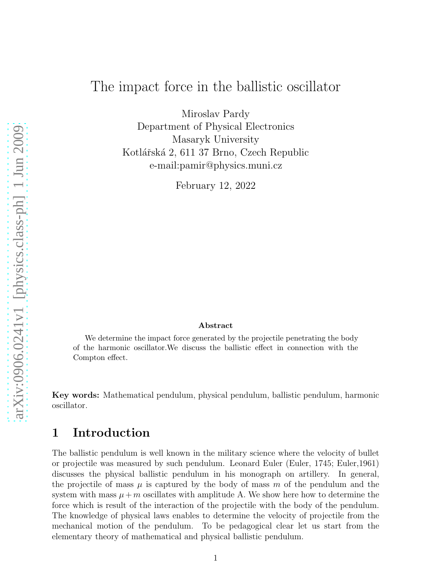# The impact force in the ballistic oscillator

Miroslav Pardy Department of Physical Electronics Masaryk University Kotlářská 2, 611 37 Brno, Czech Republic e-mail:pamir@physics.muni.cz

February 12, 2022

# arXiv:0906.0241v1 [physics.class-ph] 1 Jun 2009 [arXiv:0906.0241v1 \[physics.class-ph\] 1 Jun 2009](http://arxiv.org/abs/0906.0241v1)

#### Abstract

We determine the impact force generated by the projectile penetrating the body of the harmonic oscillator.We discuss the ballistic effect in connection with the Compton effect.

Key words: Mathematical pendulum, physical pendulum, ballistic pendulum, harmonic oscillator.

## 1 Introduction

The ballistic pendulum is well known in the military science where the velocity of bullet or projectile was measured by such pendulum. Leonard Euler (Euler, 1745; Euler,1961) discusses the physical ballistic pendulum in his monograph on artillery. In general, the projectile of mass  $\mu$  is captured by the body of mass m of the pendulum and the system with mass  $\mu + m$  oscillates with amplitude A. We show here how to determine the force which is result of the interaction of the projectile with the body of the pendulum. The knowledge of physical laws enables to determine the velocity of projectile from the mechanical motion of the pendulum. To be pedagogical clear let us start from the elementary theory of mathematical and physical ballistic pendulum.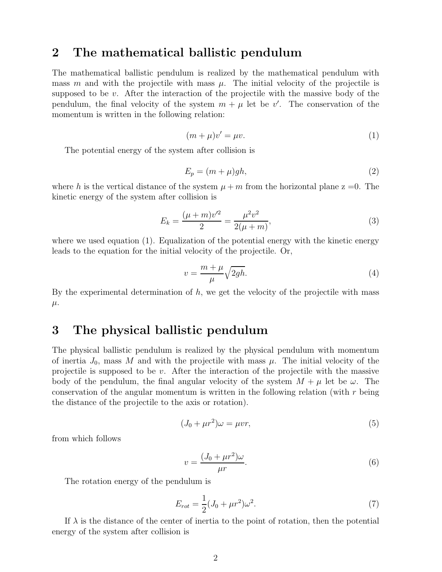#### 2 The mathematical ballistic pendulum

The mathematical ballistic pendulum is realized by the mathematical pendulum with mass m and with the projectile with mass  $\mu$ . The initial velocity of the projectile is supposed to be  $v$ . After the interaction of the projectile with the massive body of the pendulum, the final velocity of the system  $m + \mu$  let be v'. The conservation of the momentum is written in the following relation:

$$
(m+\mu)v' = \mu v.\tag{1}
$$

The potential energy of the system after collision is

$$
E_p = (m + \mu)gh,\t\t(2)
$$

where h is the vertical distance of the system  $\mu + m$  from the horizontal plane  $z = 0$ . The kinetic energy of the system after collision is

$$
E_k = \frac{(\mu + m)v'^2}{2} = \frac{\mu^2 v^2}{2(\mu + m)},
$$
\n(3)

where we used equation (1). Equalization of the potential energy with the kinetic energy leads to the equation for the initial velocity of the projectile. Or,

$$
v = \frac{m + \mu}{\mu} \sqrt{2gh}.\tag{4}
$$

By the experimental determination of  $h$ , we get the velocity of the projectile with mass  $\mu$ .

# 3 The physical ballistic pendulum

The physical ballistic pendulum is realized by the physical pendulum with momentum of inertia  $J_0$ , mass M and with the projectile with mass  $\mu$ . The initial velocity of the projectile is supposed to be  $v$ . After the interaction of the projectile with the massive body of the pendulum, the final angular velocity of the system  $M + \mu$  let be  $\omega$ . The conservation of the angular momentum is written in the following relation (with  $r$  being the distance of the projectile to the axis or rotation).

$$
(J_0 + \mu r^2)\omega = \mu v r,\tag{5}
$$

from which follows

$$
v = \frac{(J_0 + \mu r^2)\omega}{\mu r}.
$$
\n(6)

The rotation energy of the pendulum is

$$
E_{rot} = \frac{1}{2}(J_0 + \mu r^2)\omega^2.
$$
 (7)

If  $\lambda$  is the distance of the center of inertia to the point of rotation, then the potential energy of the system after collision is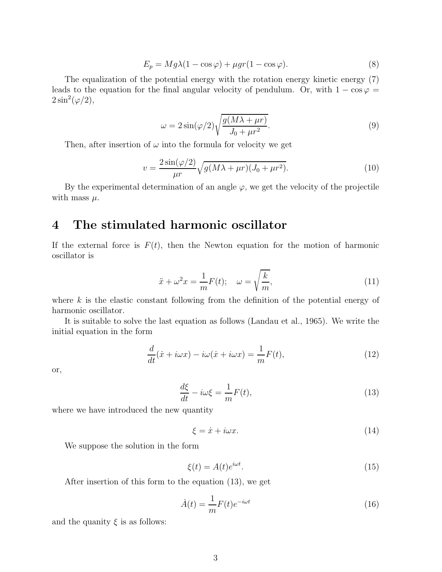$$
E_p = Mg\lambda(1 - \cos\varphi) + \mu gr(1 - \cos\varphi). \tag{8}
$$

The equalization of the potential energy with the rotation energy kinetic energy (7) leads to the equation for the final angular velocity of pendulum. Or, with  $1 - \cos \varphi =$  $2\sin^2(\varphi/2),$ 

$$
\omega = 2\sin(\varphi/2)\sqrt{\frac{g(M\lambda + \mu r)}{J_0 + \mu r^2}}.\tag{9}
$$

Then, after insertion of  $\omega$  into the formula for velocity we get

$$
v = \frac{2\sin(\varphi/2)}{\mu r} \sqrt{g(M\lambda + \mu r)(J_0 + \mu r^2)}.
$$
\n(10)

By the experimental determination of an angle  $\varphi$ , we get the velocity of the projectile with mass  $\mu$ .

# 4 The stimulated harmonic oscillator

If the external force is  $F(t)$ , then the Newton equation for the motion of harmonic oscillator is

$$
\ddot{x} + \omega^2 x = \frac{1}{m} F(t); \quad \omega = \sqrt{\frac{k}{m}},
$$
\n(11)

where  $k$  is the elastic constant following from the definition of the potential energy of harmonic oscillator.

It is suitable to solve the last equation as follows (Landau et al., 1965). We write the initial equation in the form

$$
\frac{d}{dt}(\dot{x} + i\omega x) - i\omega(\dot{x} + i\omega x) = \frac{1}{m}F(t),\tag{12}
$$

or,

$$
\frac{d\xi}{dt} - i\omega\xi = \frac{1}{m}F(t),\tag{13}
$$

where we have introduced the new quantity

$$
\xi = \dot{x} + i\omega x. \tag{14}
$$

We suppose the solution in the form

$$
\xi(t) = A(t)e^{i\omega t}.\tag{15}
$$

After insertion of this form to the equation (13), we get

$$
\dot{A}(t) = \frac{1}{m} F(t) e^{-i\omega t}
$$
\n(16)

and the quanity  $\xi$  is as follows: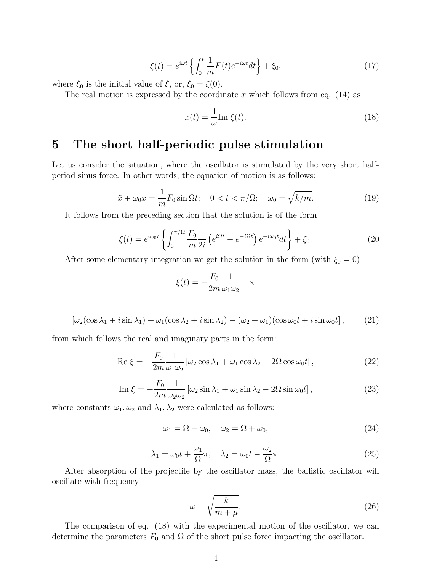$$
\xi(t) = e^{i\omega t} \left\{ \int_0^t \frac{1}{m} F(t) e^{-i\omega t} dt \right\} + \xi_0,
$$
\n(17)

where  $\xi_0$  is the initial value of  $\xi$ , or,  $\xi_0 = \xi(0)$ .

The real motion is expressed by the coordinate x which follows from eq.  $(14)$  as

$$
x(t) = \frac{1}{\omega} \text{Im } \xi(t). \tag{18}
$$

# 5 The short half-periodic pulse stimulation

Let us consider the situation, where the oscillator is stimulated by the very short halfperiod sinus force. In other words, the equation of motion is as follows:

$$
\ddot{x} + \omega_0 x = \frac{1}{m} F_0 \sin \Omega t; \quad 0 < t < \pi / \Omega; \quad \omega_0 = \sqrt{k / m}. \tag{19}
$$

It follows from the preceding section that the solution is of the form

$$
\xi(t) = e^{i\omega_0 t} \left\{ \int_0^{\pi/\Omega} \frac{F_0}{m} \frac{1}{2i} \left( e^{i\Omega t} - e^{-i\Omega t} \right) e^{-i\omega_0 t} dt \right\} + \xi_0.
$$
 (20)

After some elementary integration we get the solution in the form (with  $\xi_0 = 0$ )

$$
\xi(t) = -\frac{F_0}{2m} \frac{1}{\omega_1 \omega_2} \quad \times
$$

$$
\left[\omega_2(\cos\lambda_1+i\sin\lambda_1)+\omega_1(\cos\lambda_2+i\sin\lambda_2)-(\omega_2+\omega_1)(\cos\omega_0t+i\sin\omega_0t\right],\qquad(21)
$$

from which follows the real and imaginary parts in the form:

$$
\operatorname{Re}\xi = -\frac{F_0}{2m} \frac{1}{\omega_1 \omega_2} \left[ \omega_2 \cos \lambda_1 + \omega_1 \cos \lambda_2 - 2\Omega \cos \omega_0 t \right],\tag{22}
$$

$$
\operatorname{Im} \xi = -\frac{F_0}{2m} \frac{1}{\omega_2 \omega_2} \left[ \omega_2 \sin \lambda_1 + \omega_1 \sin \lambda_2 - 2\Omega \sin \omega_0 t \right],\tag{23}
$$

where constants  $\omega_1, \omega_2$  and  $\lambda_1, \lambda_2$  were calculated as follows:

$$
\omega_1 = \Omega - \omega_0, \quad \omega_2 = \Omega + \omega_0,\tag{24}
$$

$$
\lambda_1 = \omega_0 t + \frac{\omega_1}{\Omega} \pi, \quad \lambda_2 = \omega_0 t - \frac{\omega_2}{\Omega} \pi.
$$
 (25)

After absorption of the projectile by the oscillator mass, the ballistic oscillator will oscillate with frequency

$$
\omega = \sqrt{\frac{k}{m+\mu}}.\tag{26}
$$

The comparison of eq. (18) with the experimental motion of the oscillator, we can determine the parameters  $F_0$  and  $\Omega$  of the short pulse force impacting the oscillator.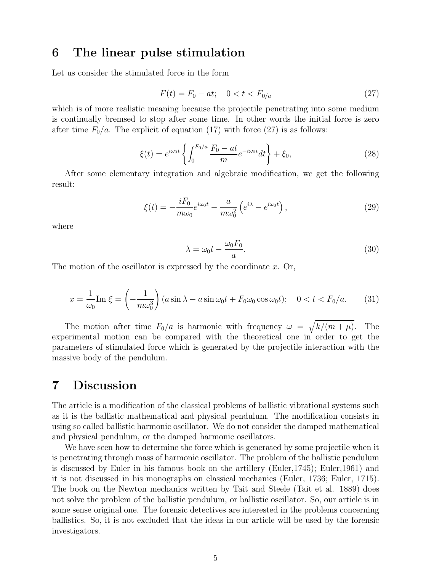#### 6 The linear pulse stimulation

Let us consider the stimulated force in the form

$$
F(t) = F_0 - at; \quad 0 < t < F_{0/a} \tag{27}
$$

which is of more realistic meaning because the projectile penetrating into some medium is continually bremsed to stop after some time. In other words the initial force is zero after time  $F_0/a$ . The explicit of equation (17) with force (27) is as follows:

$$
\xi(t) = e^{i\omega_0 t} \left\{ \int_0^{F_0/a} \frac{F_0 - at}{m} e^{-i\omega_0 t} dt \right\} + \xi_0,
$$
\n(28)

After some elementary integration and algebraic modification, we get the following result:

$$
\xi(t) = -\frac{iF_0}{m\omega_0}e^{i\omega_0 t} - \frac{a}{m\omega_0^2} \left(e^{i\lambda} - e^{i\omega_0 t}\right),\tag{29}
$$

where

$$
\lambda = \omega_0 t - \frac{\omega_0 F_0}{a}.\tag{30}
$$

The motion of the oscillator is expressed by the coordinate  $x$ . Or,

$$
x = \frac{1}{\omega_0} \operatorname{Im} \xi = \left(-\frac{1}{m\omega_0^3}\right) \left(a\sin\lambda - a\sin\omega_0 t + F_0\omega_0\cos\omega_0 t\right); \quad 0 < t < F_0/a. \tag{31}
$$

The motion after time  $F_0/a$  is harmonic with frequency  $\omega = \sqrt{k/(m + \mu)}$ . The experimental motion can be compared with the theoretical one in order to get the parameters of stimulated force which is generated by the projectile interaction with the massive body of the pendulum.

### 7 Discussion

The article is a modification of the classical problems of ballistic vibrational systems such as it is the ballistic mathematical and physical pendulum. The modification consists in using so called ballistic harmonic oscillator. We do not consider the damped mathematical and physical pendulum, or the damped harmonic oscillators.

We have seen how to determine the force which is generated by some projectile when it is penetrating through mass of harmonic oscillator. The problem of the ballistic pendulum is discussed by Euler in his famous book on the artillery (Euler,1745); Euler,1961) and it is not discussed in his monographs on classical mechanics (Euler, 1736; Euler, 1715). The book on the Newton mechanics written by Tait and Steele (Tait et al. 1889) does not solve the problem of the ballistic pendulum, or ballistic oscillator. So, our article is in some sense original one. The forensic detectives are interested in the problems concerning ballistics. So, it is not excluded that the ideas in our article will be used by the forensic investigators.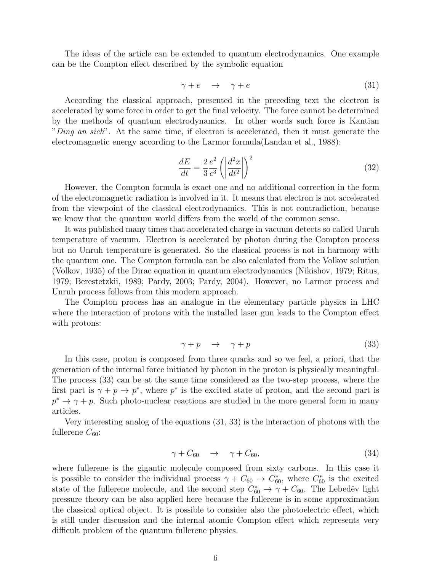The ideas of the article can be extended to quantum electrodynamics. One example can be the Compton effect described by the symbolic equation

$$
\gamma + e \quad \rightarrow \quad \gamma + e \tag{31}
$$

According the classical approach, presented in the preceding text the electron is accelerated by some force in order to get the final velocity. The force cannot be determined by the methods of quantum electrodynamics. In other words such force is Kantian "Ding an sich". At the same time, if electron is accelerated, then it must generate the electromagnetic energy according to the Larmor formula(Landau et al., 1988):

$$
\frac{dE}{dt} = \frac{2}{3} \frac{e^2}{c^3} \left( \left| \frac{d^2x}{dt^2} \right| \right)^2 \tag{32}
$$

However, the Compton formula is exact one and no additional correction in the form of the electromagnetic radiation is involved in it. It means that electron is not accelerated from the viewpoint of the classical electrodynamics. This is not contradiction, because we know that the quantum world differs from the world of the common sense.

It was published many times that accelerated charge in vacuum detects so called Unruh temperature of vacuum. Electron is accelerated by photon during the Compton process but no Unruh temperature is generated. So the classical process is not in harmony with the quantum one. The Compton formula can be also calculated from the Volkov solution (Volkov, 1935) of the Dirac equation in quantum electrodynamics (Nikishov, 1979; Ritus, 1979; Berestetzkii, 1989; Pardy, 2003; Pardy, 2004). However, no Larmor process and Unruh process follows from this modern approach.

The Compton process has an analogue in the elementary particle physics in LHC where the interaction of protons with the installed laser gun leads to the Compton effect with protons:

$$
\gamma + p \quad \rightarrow \quad \gamma + p \tag{33}
$$

In this case, proton is composed from three quarks and so we feel, a priori, that the generation of the internal force initiated by photon in the proton is physically meaningful. The process (33) can be at the same time considered as the two-step process, where the first part is  $\gamma + p \to p^*$ , where  $p^*$  is the excited state of proton, and the second part is  $p^* \to \gamma + p$ . Such photo-nuclear reactions are studied in the more general form in many articles.

Very interesting analog of the equations (31, 33) is the interaction of photons with the fullerene  $C_{60}$ :

$$
\gamma + C_{60} \quad \rightarrow \quad \gamma + C_{60}, \tag{34}
$$

where fullerene is the gigantic molecule composed from sixty carbons. In this case it is possible to consider the individual process  $\gamma + C_{60} \rightarrow C_{60}^*$ , where  $C_{60}^*$  is the excited state of the fullerene molecule, and the second step  $C_{60}^* \rightarrow \gamma + C_{60}$ . The Lebeděv light pressure theory can be also applied here because the fullerene is in some approximation the classical optical object. It is possible to consider also the photoelectric effect, which is still under discussion and the internal atomic Compton effect which represents very difficult problem of the quantum fullerene physics.